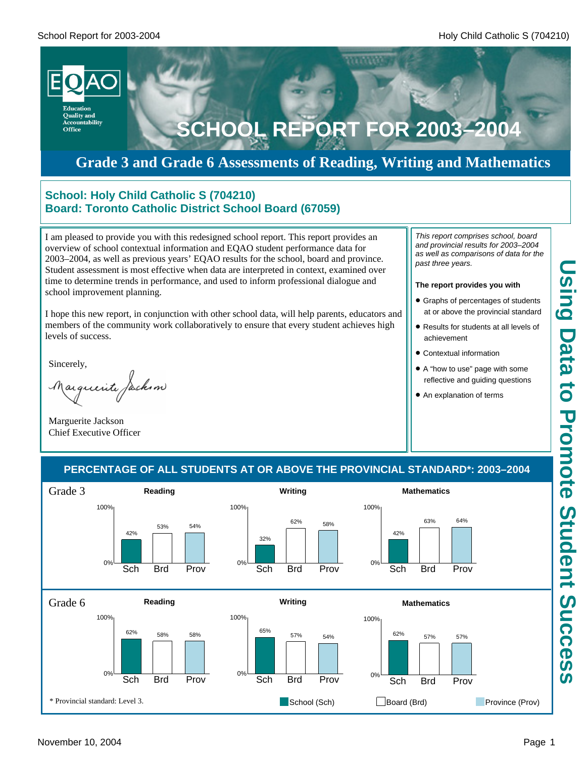

# **Grade 3 and Grade 6 Assessments of Reading, Writing and Mathematics**

### **School: Holy Child Catholic S (704210) Board: Toronto Catholic District School Board (67059)**

I am pleased to provide you with this redesigned school report. This report provides an overview of school contextual information and EQAO student performance data for 2003–2004, as well as previous years' EQAO results for the school, board and province. Student assessment is most effective when data are interpreted in context, examined over time to determine trends in performance, and used to inform professional dialogue and school improvement planning.

I hope this new report, in conjunction with other school data, will help parents, educators and members of the community work collaboratively to ensure that every student achieves high levels of success.

Sincerely,

arguerite facksm

Marguerite Jackson Chief Executive Officer

*This report comprises school, board and provincial results for 2003–2004 as well as comparisons of data for the past three years.*

#### **The report provides you with**

- **Graphs of percentages of students** at or above the provincial standard
- Results for students at all levels of achievement
- **Contextual information**
- A "how to use" page with some reflective and guiding questions
- An explanation of terms

### **PERCENTAGE OF ALL STUDENTS AT OR ABOVE THE PROVINCIAL STANDARD\*: 2003–2004**

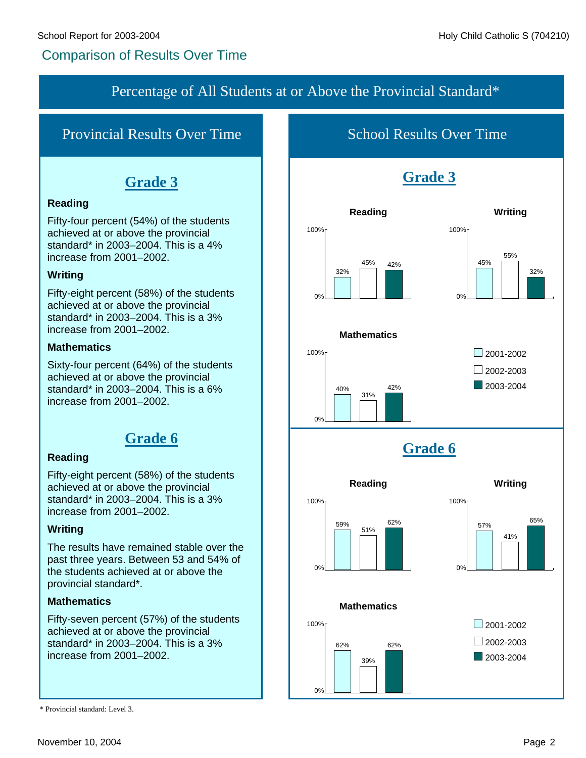# Comparison of Results Over Time

## Percentage of All Students at or Above the Provincial Standard\*

# Provincial Results Over Time

# **Grade 3**

### **Reading**

Fifty-four percent (54%) of the students achieved at or above the provincial standard\* in 2003–2004. This is a 4% increase from 2001–2002.

### **Writing**

Fifty-eight percent (58%) of the students achieved at or above the provincial standard\* in 2003–2004. This is a 3% increase from 2001–2002.

### **Mathematics**

Sixty-four percent (64%) of the students achieved at or above the provincial standard\* in 2003–2004. This is a 6% increase from 2001–2002.

# **Grade 6**

### **Reading**

Fifty-eight percent (58%) of the students achieved at or above the provincial standard\* in 2003–2004. This is a 3% increase from 2001–2002.

### **Writing**

The results have remained stable over the past three years. Between 53 and 54% of the students achieved at or above the provincial standard\*.

### **Mathematics**

Fifty-seven percent (57%) of the students achieved at or above the provincial standard\* in 2003–2004. This is a 3% increase from 2001–2002.

School Results Over Time





39%

**Mathematics**

62%

100%

62%

0%



<sup>\*</sup> Provincial standard: Level 3.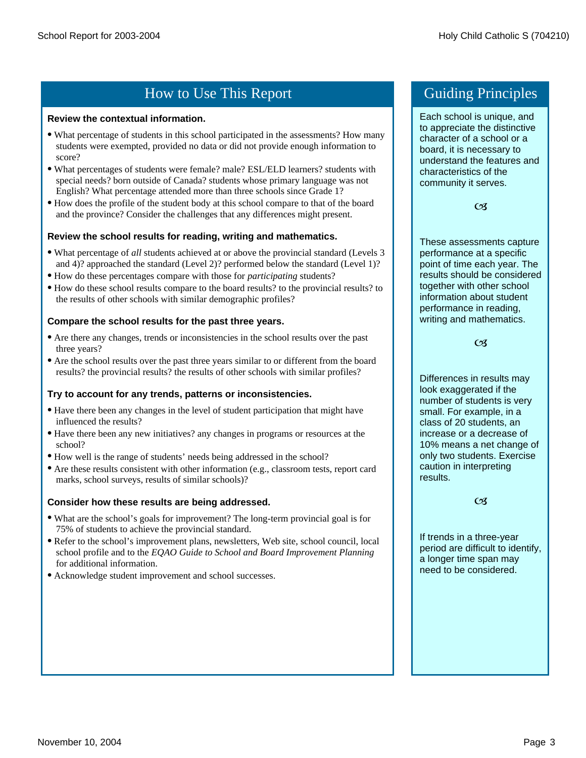# How to Use This Report Guiding Principles

#### **Review the contextual information.**

- · What percentage of students in this school participated in the assessments? How many students were exempted, provided no data or did not provide enough information to score?
- · What percentages of students were female? male? ESL/ELD learners? students with special needs? born outside of Canada? students whose primary language was not English? What percentage attended more than three schools since Grade 1?
- · How does the profile of the student body at this school compare to that of the board and the province? Consider the challenges that any differences might present.

### **Review the school results for reading, writing and mathematics.**

- · What percentage of *all* students achieved at or above the provincial standard (Levels 3 and 4)? approached the standard (Level 2)? performed below the standard (Level 1)?
- · How do these percentages compare with those for *participating* students?
- · How do these school results compare to the board results? to the provincial results? to the results of other schools with similar demographic profiles?

### **Compare the school results for the past three years.**

- · Are there any changes, trends or inconsistencies in the school results over the past three years?
- · Are the school results over the past three years similar to or different from the board results? the provincial results? the results of other schools with similar profiles?

#### **Try to account for any trends, patterns or inconsistencies.**

- · Have there been any changes in the level of student participation that might have influenced the results?
- · Have there been any new initiatives? any changes in programs or resources at the school?
- · How well is the range of students' needs being addressed in the school?
- · Are these results consistent with other information (e.g., classroom tests, report card marks, school surveys, results of similar schools)?

### **Consider how these results are being addressed.**

- · What are the school's goals for improvement? The long-term provincial goal is for 75% of students to achieve the provincial standard.
- · Refer to the school's improvement plans, newsletters, Web site, school council, local school profile and to the *EQAO Guide to School and Board Improvement Planning*  for additional information.
- · Acknowledge student improvement and school successes.

Each school is unique, and to appreciate the distinctive character of a school or a board, it is necessary to understand the features and characteristics of the community it serves.

 $C<sub>3</sub>$ 

These assessments capture performance at a specific point of time each year. The results should be considered together with other school information about student performance in reading, writing and mathematics.

#### $C<sub>3</sub>$

Differences in results may look exaggerated if the number of students is very small. For example, in a class of 20 students, an increase or a decrease of 10% means a net change of only two students. Exercise caution in interpreting results.

#### $C<sub>3</sub>$

If trends in a three-year period are difficult to identify, a longer time span may need to be considered.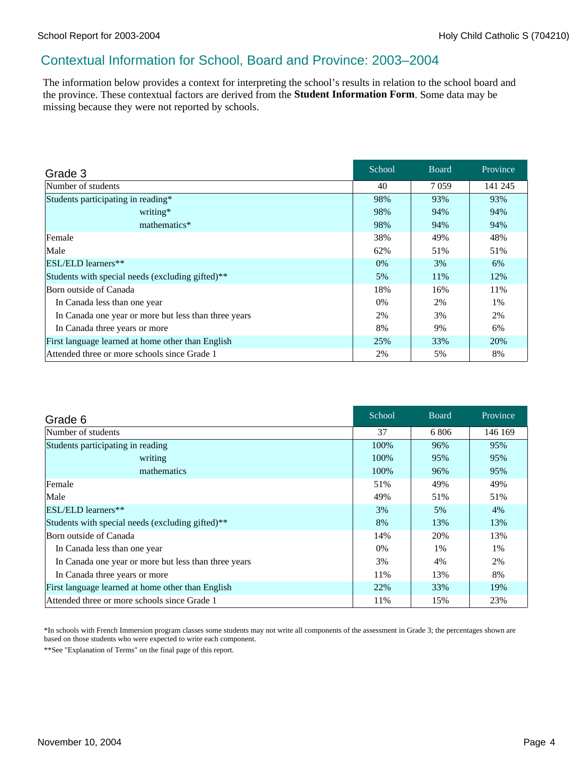### Contextual Information for School, Board and Province: 2003–2004

The information below provides a context for interpreting the school's results in relation to the school board and the province. These contextual factors are derived from the **Student Information Form**. Some data may be missing because they were not reported by schools.

| Grade 3                                              | School | <b>Board</b> | Province |
|------------------------------------------------------|--------|--------------|----------|
| Number of students                                   | 40     | 7059         | 141 245  |
| Students participating in reading*                   | 98%    | 93%          | 93%      |
| writing*                                             | 98%    | 94%          | 94%      |
| mathematics*                                         | 98%    | 94%          | 94%      |
| Female                                               | 38%    | 49%          | 48%      |
| Male                                                 | 62%    | 51%          | 51%      |
| ESL/ELD learners**                                   | 0%     | 3%           | 6%       |
| Students with special needs (excluding gifted)**     | 5%     | 11%          | 12%      |
| Born outside of Canada                               | 18%    | 16%          | 11%      |
| In Canada less than one year                         | 0%     | 2%           | 1%       |
| In Canada one year or more but less than three years | 2%     | 3%           | 2%       |
| In Canada three years or more                        | 8%     | 9%           | 6%       |
| First language learned at home other than English    | 25%    | 33%          | 20%      |
| Attended three or more schools since Grade 1         | 2%     | 5%           | 8%       |

| Grade 6                                              | School | <b>Board</b> | Province |
|------------------------------------------------------|--------|--------------|----------|
| Number of students                                   | 37     | 6806         | 146 169  |
| Students participating in reading                    | 100%   | 96%          | 95%      |
| writing                                              | 100%   | 95%          | 95%      |
| mathematics                                          | 100%   | 96%          | 95%      |
| Female                                               | 51%    | 49%          | 49%      |
| Male                                                 | 49%    | 51%          | 51%      |
| <b>ESL/ELD</b> learners**                            | 3%     | 5%           | 4%       |
| Students with special needs (excluding gifted)**     | 8%     | 13%          | 13%      |
| Born outside of Canada                               | 14%    | 20%          | 13%      |
| In Canada less than one year                         | $0\%$  | $1\%$        | 1%       |
| In Canada one year or more but less than three years | 3%     | 4%           | 2%       |
| In Canada three years or more                        | 11%    | 13%          | 8%       |
| First language learned at home other than English    | 22%    | 33%          | 19%      |
| Attended three or more schools since Grade 1         | 11%    | 15%          | 23%      |

\*In schools with French Immersion program classes some students may not write all components of the assessment in Grade 3; the percentages shown are based on those students who were expected to write each component.

\*\*See "Explanation of Terms" on the final page of this report.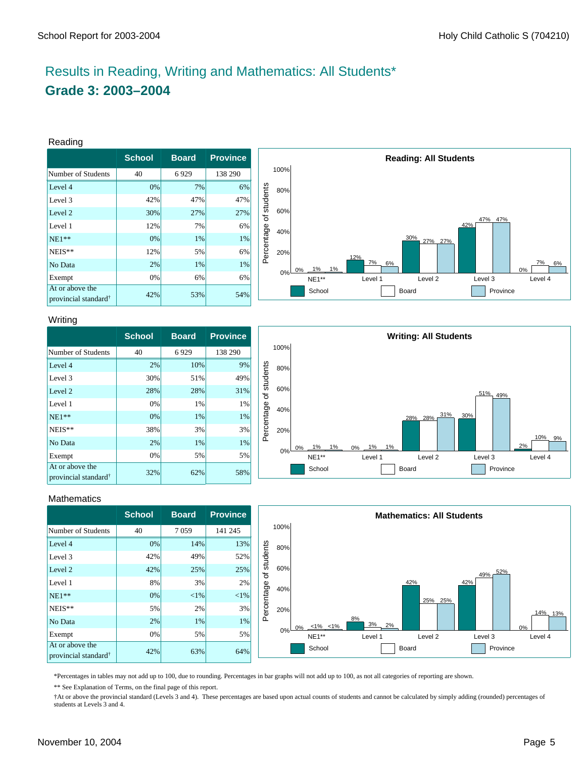# Results in Reading, Writing and Mathematics: All Students\* **Grade 3: 2003–2004**

#### Reading

|                                                     | <b>School</b> | <b>Board</b> | <b>Province</b> |
|-----------------------------------------------------|---------------|--------------|-----------------|
| Number of Students                                  | 40            | 6929         | 138 290         |
| Level 4                                             | 0%            | 7%           | 6%              |
| Level 3                                             | 42%           | 47%          | 47%             |
| Level 2                                             | 30%           | 27%          | 27%             |
| Level 1                                             | 12%           | 7%           | 6%              |
| $NE1**$                                             | 0%            | 1%           | 1%              |
| NEIS**                                              | 12%           | 5%           | 6%              |
| No Data                                             | 2%            | 1%           | 1%              |
| Exempt                                              | 0%            | 6%           | 6%              |
| At or above the<br>provincial standard <sup>†</sup> | 42%           | 53%          | 54%             |



#### Writing

|                                                     | <b>School</b> | <b>Board</b> | <b>Province</b> |
|-----------------------------------------------------|---------------|--------------|-----------------|
| Number of Students                                  | 40            | 6929         | 138 290         |
| Level 4                                             | 2%            | 10%          | 9%              |
| Level 3                                             | 30%           | 51%          | 49%             |
| Level 2                                             | 28%           | 28%          | 31%             |
| Level 1                                             | 0%            | 1%           | 1%              |
| $NE1**$                                             | 0%            | 1%           | 1%              |
| NEIS**                                              | 38%           | 3%           | 3%              |
| No Data                                             | 2%            | 1%           | 1%              |
| Exempt                                              | 0%            | 5%           | 5%              |
| At or above the<br>provincial standard <sup>†</sup> | 32%           | 62%          | 58%             |



#### **Mathematics**

|                                                     | <b>School</b> | <b>Board</b> | <b>Province</b> |            |      |                          | <b>Mathematics: All Students</b>         |
|-----------------------------------------------------|---------------|--------------|-----------------|------------|------|--------------------------|------------------------------------------|
| Number of Students                                  | 40            | 7059         | 141 245         |            | 100% |                          |                                          |
| Level 4                                             | 0%            | 14%          | 13%             |            | 80%  |                          |                                          |
| Level 3                                             | 42%           | 49%          | 52%             | students   |      |                          |                                          |
| Level 2                                             | 42%           | 25%          | 25%             | ৳          | 60%  |                          | 52%<br>49%                               |
| Level 1                                             | 8%            | 3%           | 2%              |            | 40%  |                          | 42%<br>42%                               |
| $NE1**$                                             | 0%            | $ 1\% $      | $< 1\%$         |            |      |                          | 25% 25%                                  |
| $NEIS**$                                            | 5%            | 2%           | 3%              | Percentage | 20%  |                          | 14% 13%                                  |
| No Data                                             | 2%            | 1%           | 1%              |            |      | $0\% -\frac{1\%}{5}$ <1% | 8%<br>$\frac{3\%}{2\%}$ 2%<br>0%         |
| Exempt                                              | 0%            | 5%           | 5%              |            | 0%   | NE1**                    | Level 1<br>Level 2<br>Level 3<br>Level 4 |
| At or above the<br>provincial standard <sup>†</sup> | 42%           | 63%          | 64%             |            |      | School                   | Province<br>Board                        |

\*Percentages in tables may not add up to 100, due to rounding. Percentages in bar graphs will not add up to 100, as not all categories of reporting are shown.

\*\* See Explanation of Terms, on the final page of this report.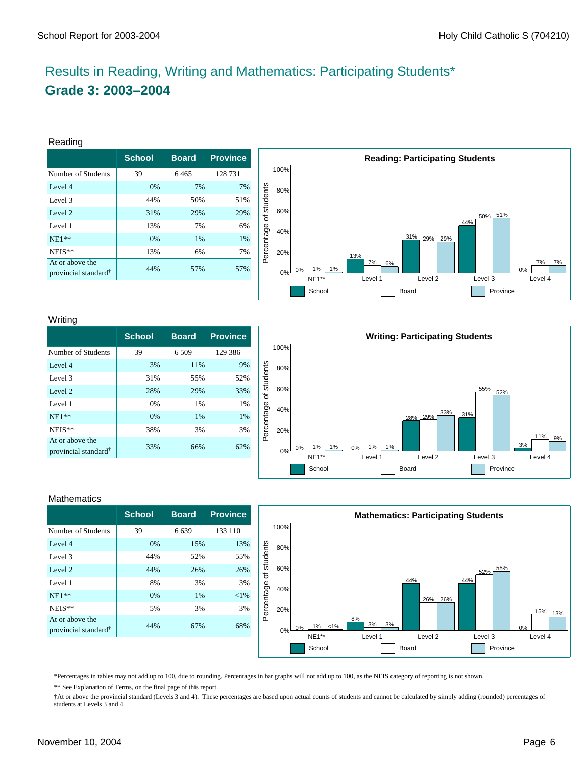# Results in Reading, Writing and Mathematics: Participating Students\* **Grade 3: 2003–2004**

#### Reading

|                                                     | <b>School</b> | <b>Board</b> | <b>Province</b> |
|-----------------------------------------------------|---------------|--------------|-----------------|
| Number of Students                                  | 39            | 6465         | 128 731         |
| Level 4                                             | 0%            | 7%           | 7%              |
| Level 3                                             | 44%           | 50%          | 51%             |
| Level 2                                             | 31%           | 29%          | 29%             |
| Level 1                                             | 13%           | 7%           | 6%              |
| $NE1**$                                             | 0%            | 1%           | 1%              |
| NEIS**                                              | 13%           | 6%           | 7%              |
| At or above the<br>provincial standard <sup>†</sup> | 44%           | 57%          | 57%             |



#### Writing

|                                                     | <b>School</b> | <b>Board</b> | <b>Province</b> |
|-----------------------------------------------------|---------------|--------------|-----------------|
| Number of Students                                  | 39            | 6 5 0 9      | 129 386         |
| Level 4                                             | 3%            | 11%          | 9%              |
| Level 3                                             | 31%           | 55%          | 52%             |
| Level 2                                             | 28%           | 29%          | 33%             |
| Level 1                                             | 0%            | 1%           | 1%              |
| $NE1**$                                             | 0%            | 1%           | 1%              |
| NEIS**                                              | 38%           | 3%           | 3%              |
| At or above the<br>provincial standard <sup>†</sup> | 33%           | 66%          | 62%             |



#### **Mathematics**

|                                                     | <b>School</b> | <b>Board</b> | <b>Province</b> |
|-----------------------------------------------------|---------------|--------------|-----------------|
| Number of Students                                  | 39            | 6639         | 133 110         |
| Level 4                                             | 0%            | 15%          | 13%             |
| Level 3                                             | 44%           | 52%          | 55%             |
| Level 2                                             | 44%           | 26%          | 26%             |
| Level 1                                             | 8%            | 3%           | 3%              |
| $NE1**$                                             | 0%            | 1%           | $<$ 1%          |
| NEIS**                                              | 5%            | 3%           | 3%              |
| At or above the<br>provincial standard <sup>†</sup> | 44%           | 67%          | 68%             |



\*Percentages in tables may not add up to 100, due to rounding. Percentages in bar graphs will not add up to 100, as the NEIS category of reporting is not shown.

\*\* See Explanation of Terms, on the final page of this report.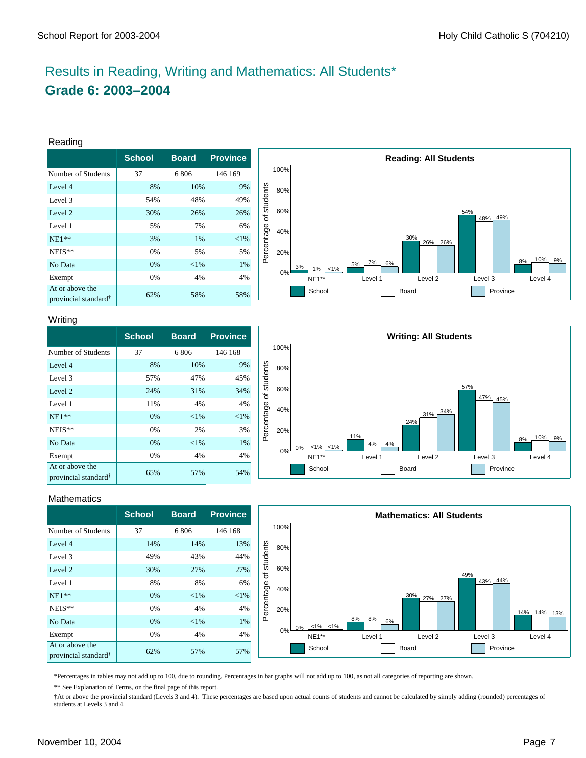# Results in Reading, Writing and Mathematics: All Students\* **Grade 6: 2003–2004**

#### Reading

|                                                     | <b>School</b> | <b>Board</b> | <b>Province</b> |
|-----------------------------------------------------|---------------|--------------|-----------------|
| Number of Students                                  | 37            | 6806         | 146 169         |
| Level 4                                             | 8%            | 10%          | 9%              |
| Level 3                                             | 54%           | 48%          | 49%             |
| Level 2                                             | 30%           | 26%          | 26%             |
| Level 1                                             | 5%            | 7%           | 6%              |
| $NE1**$                                             | 3%            | 1%           | ${<}1\%$        |
| NEIS**                                              | 0%            | 5%           | 5%              |
| No Data                                             | 0%            | ${<}1\%$     | 1%              |
| Exempt                                              | 0%            | 4%           | 4%              |
| At or above the<br>provincial standard <sup>†</sup> | 62%           | 58%          | 58%             |



#### Writing

|                                                     | <b>School</b> | <b>Board</b> | <b>Province</b> |
|-----------------------------------------------------|---------------|--------------|-----------------|
| Number of Students                                  | 37            | 6806         | 146 168         |
| Level 4                                             | 8%            | 10%          | 9%              |
| Level 3                                             | 57%           | 47%          | 45%             |
| Level 2                                             | 24%           | 31%          | 34%             |
| Level 1                                             | 11%           | 4%           | 4%              |
| $NE1**$                                             | 0%            | ${<}1\%$     | ${<}1\%$        |
| NEIS**                                              | 0%            | 2%           | 3%              |
| No Data                                             | 0%            | ${<}1\%$     | 1%              |
| Exempt                                              | 0%            | 4%           | 4%              |
| At or above the<br>provincial standard <sup>†</sup> | 65%           | 57%          | 54%             |



#### **Mathematics**

|                                                     | <b>School</b> | <b>Board</b> | <b>Province</b> |            |       |                          |                | <b>Mathematics: All Students</b> |          |                            |
|-----------------------------------------------------|---------------|--------------|-----------------|------------|-------|--------------------------|----------------|----------------------------------|----------|----------------------------|
| Number of Students                                  | 37            | 6806         | 146 168         |            | 100%  |                          |                |                                  |          |                            |
| Level 4                                             | 14%           | 14%          | 13%             |            | 80%   |                          |                |                                  |          |                            |
| Level 3                                             | 49%           | 43%          | 44%             | students   |       |                          |                |                                  |          |                            |
| Level 2                                             | 30%           | 27%          | 27%             | ৳          | 60%   |                          |                |                                  | 49%      |                            |
| Level 1                                             | 8%            | 8%           | 6%              |            | 40%   |                          |                |                                  | 43% 44%  |                            |
| $NE1**$                                             | 0%            | $ 1\% $      | $< 1\%$         |            |       |                          |                | 30%<br>27% 27%                   |          |                            |
| $NEIS**$                                            | 0%            | 4%           | 4%              | Percentage | 20%   |                          |                |                                  |          | $\frac{14\%}{13\%}$<br>14% |
| No Data                                             | 0%            | $ 1\% $      | $1\%$           |            |       | $0\% -\frac{1\%}{6}$ <1% | 8%<br>8%<br>6% |                                  |          |                            |
| Exempt                                              | 0%            | 4%           | 4%              |            | $0\%$ | NE1**                    | Level 1        | Level 2                          | Level 3  | Level 4                    |
| At or above the<br>provincial standard <sup>†</sup> | 62%           | 57%          | 57%             |            |       | School                   |                | Board                            | Province |                            |

\*Percentages in tables may not add up to 100, due to rounding. Percentages in bar graphs will not add up to 100, as not all categories of reporting are shown.

\*\* See Explanation of Terms, on the final page of this report.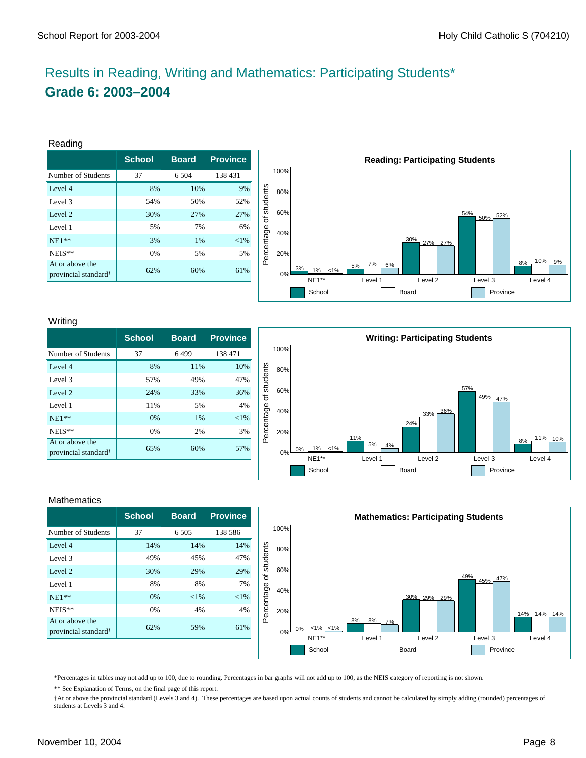# Results in Reading, Writing and Mathematics: Participating Students\* **Grade 6: 2003–2004**

#### Reading

|                                                     | <b>School</b> | <b>Board</b> | <b>Province</b> |
|-----------------------------------------------------|---------------|--------------|-----------------|
| Number of Students                                  | 37            | 6 5 0 4      | 138 431         |
| Level 4                                             | 8%            | 10%          | 9%              |
| Level 3                                             | 54%           | 50%          | 52%             |
| Level 2                                             | 30%           | 27%          | 27%             |
| Level 1                                             | 5%            | 7%           | 6%              |
| $NE1**$                                             | 3%            | 1%           | ${<}1\%$        |
| NEIS**                                              | 0%            | 5%           | 5%              |
| At or above the<br>provincial standard <sup>†</sup> | 62%           | 60%          | 61%             |



#### Writing

|                                                     | <b>School</b> | <b>Board</b> | <b>Province</b> |
|-----------------------------------------------------|---------------|--------------|-----------------|
| Number of Students                                  | 37            | 6499         | 138 471         |
| Level 4                                             | 8%            | 11%          | 10%             |
| Level 3                                             | 57%           | 49%          | 47%             |
| Level 2                                             | 24%           | 33%          | 36%             |
| Level 1                                             | 11%           | 5%           | 4%              |
| $NE1**$                                             | 0%            | 1%           | $< 1\%$         |
| NEIS**                                              | 0%            | 2%           | 3%              |
| At or above the<br>provincial standard <sup>†</sup> | 65%           | 60%          | 57%             |



### **Mathematics**

|                                                     | <b>School</b> | <b>Board</b> | <b>Province</b> |
|-----------------------------------------------------|---------------|--------------|-----------------|
| Number of Students                                  | 37            | 6 5 0 5      | 138 586         |
| Level 4                                             | 14%           | 14%          | 14%             |
| Level 3                                             | 49%           | 45%          | 47%             |
| Level 2                                             | 30%           | 29%          | 29%             |
| Level 1                                             | 8%            | 8%           | 7%              |
| $NE1**$                                             | 0%            | $<$ 1%       | ${<}1\%$        |
| NEIS**                                              | 0%            | 4%           | 4%              |
| At or above the<br>provincial standard <sup>†</sup> | 62%           | 59%          | 61%             |



\*Percentages in tables may not add up to 100, due to rounding. Percentages in bar graphs will not add up to 100, as the NEIS category of reporting is not shown.

\*\* See Explanation of Terms, on the final page of this report.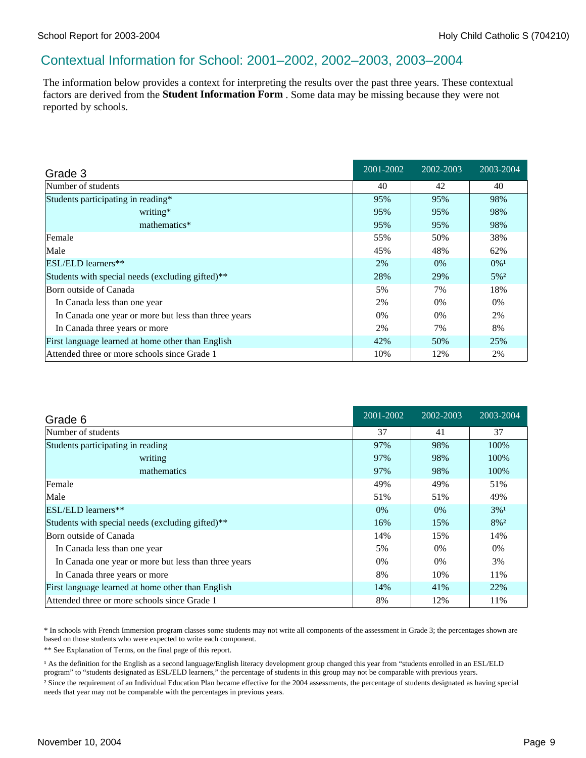### Contextual Information for School: 2001–2002, 2002–2003, 2003–2004

The information below provides a context for interpreting the results over the past three years. These contextual factors are derived from the **Student Information Form** . Some data may be missing because they were not reported by schools.

| Grade 3                                              | 2001-2002 | 2002-2003 | 2003-2004          |
|------------------------------------------------------|-----------|-----------|--------------------|
| Number of students                                   | 40        | 42        | 40                 |
| Students participating in reading*                   | 95%       | 95%       | 98%                |
| writing*                                             | 95%       | 95%       | 98%                |
| mathematics*                                         | 95%       | 95%       | 98%                |
| Female                                               | 55%       | 50%       | 38%                |
| Male                                                 | 45%       | 48%       | 62%                |
| <b>ESL/ELD</b> learners**                            | 2%        | $0\%$     | $0\%$ <sup>1</sup> |
| Students with special needs (excluding gifted)**     | 28%       | 29%       | $5\%$ <sup>2</sup> |
| Born outside of Canada                               | 5%        | 7%        | 18%                |
| In Canada less than one year                         | 2%        | 0%        | $0\%$              |
| In Canada one year or more but less than three years | $0\%$     | $0\%$     | 2%                 |
| In Canada three years or more                        | 2%        | 7%        | 8%                 |
| First language learned at home other than English    | 42%       | 50%       | 25%                |
| Attended three or more schools since Grade 1         | 10%       | 12%       | 2%                 |

| Grade 6                                              | 2001-2002 | 2002-2003 | 2003-2004 |
|------------------------------------------------------|-----------|-----------|-----------|
| Number of students                                   | 37        | 41        | 37        |
| Students participating in reading                    | 97%       | 98%       | 100%      |
| writing                                              | 97%       | 98%       | 100%      |
| mathematics                                          | 97%       | 98%       | 100%      |
| Female                                               | 49%       | 49%       | 51%       |
| Male                                                 | 51%       | 51%       | 49%       |
| ESL/ELD learners**                                   | $0\%$     | $0\%$     | $3\%1$    |
| Students with special needs (excluding gifted)**     | 16%       | 15%       | $8\%^2$   |
| Born outside of Canada                               | 14%       | 15%       | 14%       |
| In Canada less than one year                         | 5%        | $0\%$     | $0\%$     |
| In Canada one year or more but less than three years | 0%        | $0\%$     | 3%        |
| In Canada three years or more                        | 8%        | 10%       | 11%       |
| First language learned at home other than English    | 14%       | 41%       | 22%       |
| Attended three or more schools since Grade 1         | 8%        | 12%       | 11%       |

\* In schools with French Immersion program classes some students may not write all components of the assessment in Grade 3; the percentages shown are based on those students who were expected to write each component.

\*\* See Explanation of Terms, on the final page of this report.

<sup>1</sup> As the definition for the English as a second language/English literacy development group changed this year from "students enrolled in an ESL/ELD program" to "students designated as ESL/ELD learners," the percentage of students in this group may not be comparable with previous years. ² Since the requirement of an Individual Education Plan became effective for the 2004 assessments, the percentage of students designated as having special needs that year may not be comparable with the percentages in previous years.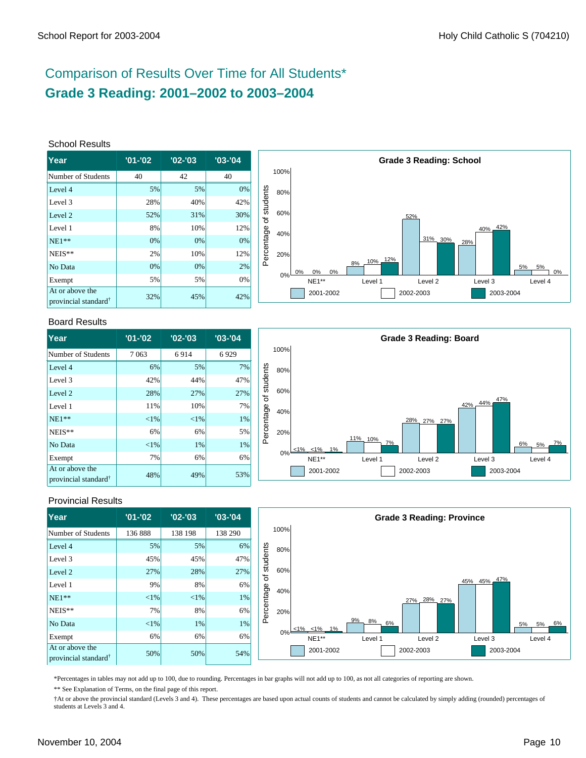# Comparison of Results Over Time for All Students\* **Grade 3 Reading: 2001–2002 to 2003–2004**

#### School Results

| Year                                                | $'01 - '02$ | $'02 -'03$ | $'03 - '04$ |
|-----------------------------------------------------|-------------|------------|-------------|
| Number of Students                                  | 40          | 42         | 40          |
| Level 4                                             | 5%          | 5%         | 0%          |
| Level 3                                             | 28%         | 40%        | 42%         |
| Level 2                                             | 52%         | 31%        | 30%         |
| Level 1                                             | 8%          | 10%        | 12%         |
| $NE1**$                                             | 0%          | 0%         | 0%          |
| NEIS**                                              | 2%          | 10%        | 12%         |
| No Data                                             | 0%          | 0%         | 2%          |
| Exempt                                              | 5%          | 5%         | 0%          |
| At or above the<br>provincial standard <sup>†</sup> | 32%         | 45%        | 42%         |



#### Board Results

| lYear                                               | $'01 - '02$ | $'02 -'03$ | $'03 -'04$ |
|-----------------------------------------------------|-------------|------------|------------|
| Number of Students                                  | 7 0 6 3     | 6914       | 6929       |
| Level 4                                             | 6%          | 5%         | 7%         |
| Level 3                                             | 42%         | 44%        | 47%        |
| Level 2                                             | 28%         | 27%        | 27%        |
| Level 1                                             | 11%         | 10%        | 7%         |
| $NE1**$                                             | ${<}1\%$    | ${<}1\%$   | 1%         |
| NEIS**                                              | 6%          | 6%         | 5%         |
| No Data                                             | ${<}1\%$    | 1%         | 1%         |
| Exempt                                              | 7%          | 6%         | 6%         |
| At or above the<br>provincial standard <sup>†</sup> | 48%         | 49%        | 53%        |



### Provincial Results

| Year                                                | $'01 - '02$ | $'02 - '03$ | $'03 - '04$ |            |      |                  |                | <b>Grade 3 Reading: Province</b> |             |             |
|-----------------------------------------------------|-------------|-------------|-------------|------------|------|------------------|----------------|----------------------------------|-------------|-------------|
| Number of Students                                  | 136888      | 138 198     | 138 290     |            | 100% |                  |                |                                  |             |             |
| Level 4                                             | 5%          | 5%          | 6%          |            | 80%  |                  |                |                                  |             |             |
| Level 3                                             | 45%         | 45%         | 47%         | students   |      |                  |                |                                  |             |             |
| Level 2                                             | 27%         | 28%         | 27%         | ৳          | 60%  |                  |                |                                  |             |             |
| Level 1                                             | 9%          | 8%          | 6%          |            | 40%  |                  |                |                                  | 45% 45% 47% |             |
| $NE1**$                                             | $<$ 1%      | $< 1\%$     | 1%          | Percentage |      |                  |                | 27% 28% 27%                      |             |             |
| $NEIS**$                                            | 7%          | 8%          | 6%          |            | 20%  |                  |                |                                  |             |             |
| No Data                                             | $<$ 1%      | 1%          | $1\%$       |            |      | $<1\%$ $<1\%$ 1% | 9%<br>8%<br>6% |                                  |             | 5% 6%<br>5% |
| Exempt                                              | 6%          | 6%          | 6%          |            | 0%⊧  | NE1**            | Level 1        | Level 2                          | Level 3     | Level 4     |
| At or above the<br>provincial standard <sup>†</sup> | 50%         | 50%         | 54%         |            |      | 2001-2002        |                | 2002-2003                        | 2003-2004   |             |

\*Percentages in tables may not add up to 100, due to rounding. Percentages in bar graphs will not add up to 100, as not all categories of reporting are shown.

\*\* See Explanation of Terms, on the final page of this report.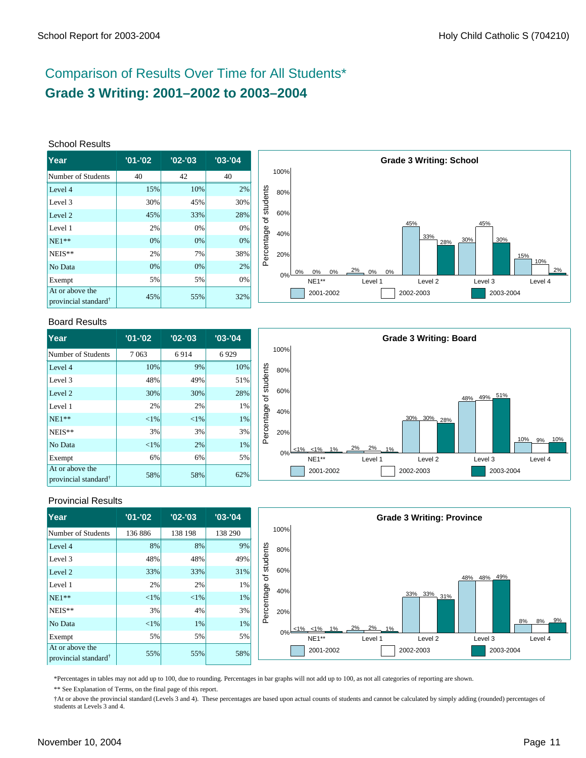# Comparison of Results Over Time for All Students\* **Grade 3 Writing: 2001–2002 to 2003–2004**

#### School Results

| <b>Year</b>                                         | $'01 - '02$ | $'02 -'03$ | $'03 -'04$ |
|-----------------------------------------------------|-------------|------------|------------|
| Number of Students                                  | 40          | 42         | 40         |
| Level 4                                             | 15%         | 10%        | 2%         |
| Level 3                                             | 30%         | 45%        | 30%        |
| Level 2                                             | 45%         | 33%        | 28%        |
| Level 1                                             | 2%          | 0%         | 0%         |
| $NE1**$                                             | 0%          | 0%         | 0%         |
| NEIS**                                              | 2%          | 7%         | 38%        |
| No Data                                             | 0%          | 0%         | 2%         |
| Exempt                                              | 5%          | 5%         | 0%         |
| At or above the<br>provincial standard <sup>†</sup> | 45%         | 55%        | 32%        |



#### Board Results

| lYear                                               | $'01 - '02$ | $'02 -'03$ | $'03 -'04$ |
|-----------------------------------------------------|-------------|------------|------------|
| Number of Students                                  | 7063        | 6914       | 6929       |
| Level 4                                             | 10%         | 9%         | 10%        |
| Level 3                                             | 48%         | 49%        | 51%        |
| Level 2                                             | 30%         | 30%        | 28%        |
| Level 1                                             | 2%          | 2%         | $1\%$      |
| $NE1**$                                             | ${<}1\%$    | $<$ 1%     | 1%         |
| NEIS**                                              | 3%          | 3%         | 3%         |
| No Data                                             | ${<}1\%$    | 2%         | 1%         |
| Exempt                                              | 6%          | 6%         | 5%         |
| At or above the<br>provincial standard <sup>†</sup> | 58%         | 58%        | 62%        |



### Provincial Results

| Year                                                | $'01 - '02$ | $'02 - '03$ | $'03 - '04$ |            |       |                  |                   | <b>Grade 3 Writing: Province</b> |             |                |
|-----------------------------------------------------|-------------|-------------|-------------|------------|-------|------------------|-------------------|----------------------------------|-------------|----------------|
| Number of Students                                  | 136 886     | 138 198     | 138 290     |            | 100%  |                  |                   |                                  |             |                |
| Level 4                                             | 8%          | 8%          | $9\%$       |            | 80%   |                  |                   |                                  |             |                |
| Level 3                                             | 48%         | 48%         | 49%         | students   |       |                  |                   |                                  |             |                |
| Level 2                                             | 33%         | 33%         | 31%         | ৳          | 60%   |                  |                   |                                  | 48% 48% 49% |                |
| Level 1                                             | 2%          | 2%          | $1\%$       |            | 40%   |                  |                   |                                  |             |                |
| $NE1**$                                             | ${<}1\%$    | $< 1\%$     | 1%          |            |       |                  |                   | 33% 33% 31%                      |             |                |
| $NEIS**$                                            | 3%          | 4%          | 3%          | Percentage | 20%   |                  |                   |                                  |             |                |
| No Data                                             | ${<}1\%$    | 1%          | 1%          |            |       | $<1\%$ $<1\%$ 1% | $2\% - 2\% - 1\%$ |                                  |             | 9%<br>8%<br>8% |
| Exempt                                              | 5%          | 5%          | 5%          |            | $0\%$ | NE1**            | Level 1           | Level 2                          | Level 3     | Level 4        |
| At or above the<br>provincial standard <sup>†</sup> | 55%         | 55%         | 58%         |            |       | 2001-2002        |                   | 2002-2003                        | 2003-2004   |                |

\*Percentages in tables may not add up to 100, due to rounding. Percentages in bar graphs will not add up to 100, as not all categories of reporting are shown.

\*\* See Explanation of Terms, on the final page of this report.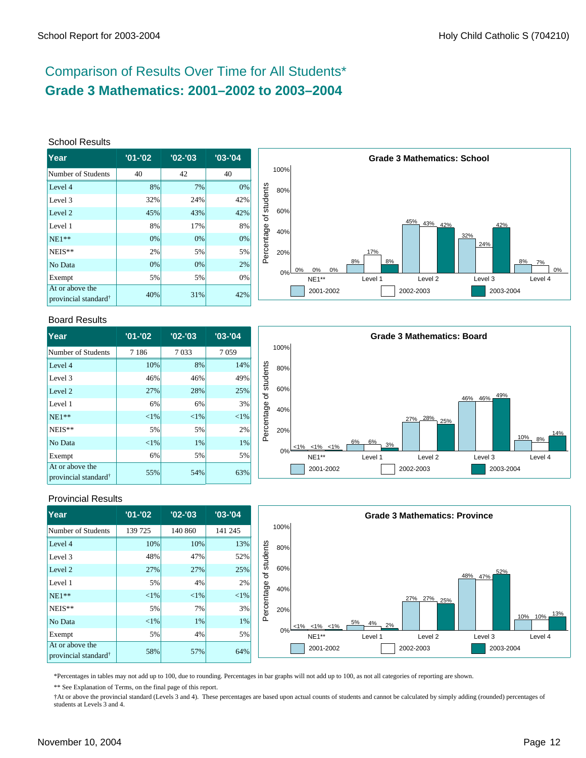# Comparison of Results Over Time for All Students\* **Grade 3 Mathematics: 2001–2002 to 2003–2004**

#### School Results

| lYear                                               | $'01 - '02$ | $'02 -'03$ | $'03 - 04$ |
|-----------------------------------------------------|-------------|------------|------------|
| Number of Students                                  | 40          | 42         | 40         |
| Level 4                                             | 8%          | 7%         | 0%         |
| Level 3                                             | 32%         | 24%        | 42%        |
| Level 2                                             | 45%         | 43%        | 42%        |
| Level 1                                             | 8%          | 17%        | 8%         |
| $NE1**$                                             | 0%          | 0%         | 0%         |
| NEIS**                                              | 2%          | 5%         | 5%         |
| No Data                                             | 0%          | 0%         | 2%         |
| Exempt                                              | 5%          | 5%         | 0%         |
| At or above the<br>provincial standard <sup>†</sup> | 40%         | 31%        | 42%        |



#### Board Results

| <b>Year</b>                                         | $'01 - '02$ | $'02 -'03$ | $'03 - '04$ |
|-----------------------------------------------------|-------------|------------|-------------|
| Number of Students                                  | 7 1 8 6     | 7033       | 7059        |
| Level 4                                             | 10%         | 8%         | 14%         |
| Level 3                                             | 46%         | 46%        | 49%         |
| Level 2                                             | 27%         | 28%        | 25%         |
| Level 1                                             | 6%          | 6%         | 3%          |
| $NE1**$                                             | ${<}1\%$    | ${<}1\%$   | ${<}1\%$    |
| NEIS**                                              | 5%          | 5%         | 2%          |
| No Data                                             | ${<}1\%$    | 1%         | 1%          |
| Exempt                                              | 6%          | 5%         | 5%          |
| At or above the<br>provincial standard <sup>†</sup> | 55%         | 54%        | 63%         |



### Provincial Results

| Year                                                | $'01 - '02$ | $'02 - '03$ | $'03 - '04$ |            |      |                         |                | <b>Grade 3 Mathematics: Province</b> |                |            |
|-----------------------------------------------------|-------------|-------------|-------------|------------|------|-------------------------|----------------|--------------------------------------|----------------|------------|
| Number of Students                                  | 139 725     | 140 860     | 141 245     |            | 100% |                         |                |                                      |                |            |
| Level 4                                             | 10%         | 10%         | 13%         |            | 80%  |                         |                |                                      |                |            |
| Level 3                                             | 48%         | 47%         | 52%         | students   |      |                         |                |                                      |                |            |
| Level 2                                             | 27%         | 27%         | 25%         | ৳          | 60%  |                         |                |                                      | 52%<br>48% 47% |            |
| Level 1                                             | 5%          | 4%          | 2%          |            | 40%  |                         |                |                                      |                |            |
| $NE1**$                                             | $<$ 1%      | $<$ 1%      | <1%         |            |      |                         |                | 27% 27%<br>25%                       |                |            |
| NEIS**                                              | 5%          | 7%          | 3%          | Percentage | 20%  |                         |                |                                      |                | 13%        |
| No Data                                             | $<$ 1%      | 1%          | $1\%$       |            |      | $< 1\%$ $< 1\%$ $< 1\%$ | 5%<br>4%<br>2% |                                      |                | 10%<br>10% |
| Exempt                                              | 5%          | 4%          | 5%          |            | 0%   | NE1**                   | Level 1        | Level <sub>2</sub>                   | Level 3        | Level 4    |
| At or above the<br>provincial standard <sup>†</sup> | 58%         | 57%         | 64%         |            |      | 2001-2002               |                | 2002-2003                            | 2003-2004      |            |

\*Percentages in tables may not add up to 100, due to rounding. Percentages in bar graphs will not add up to 100, as not all categories of reporting are shown.

\*\* See Explanation of Terms, on the final page of this report.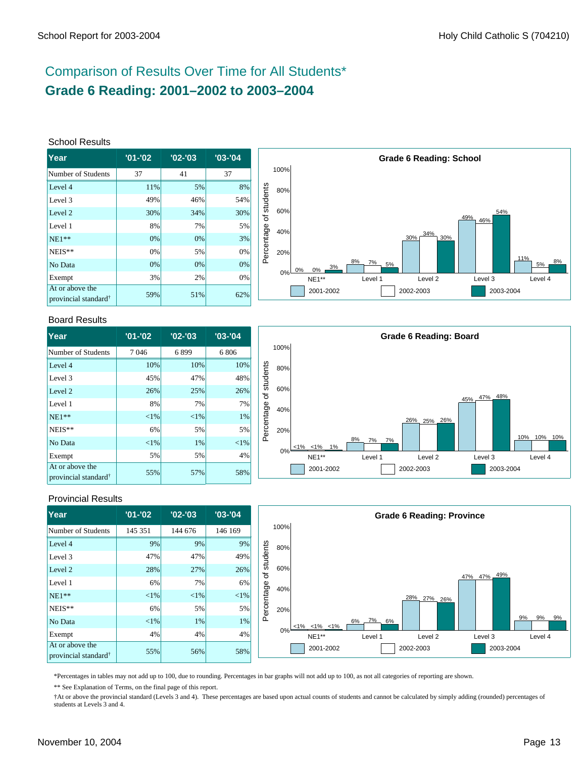# Comparison of Results Over Time for All Students\* **Grade 6 Reading: 2001–2002 to 2003–2004**

#### School Results

| <b>Year</b>                                         | $'01 - '02$ | $'02 -'03$ | $'03 -'04$ |
|-----------------------------------------------------|-------------|------------|------------|
| Number of Students                                  | 37          | 41         | 37         |
| Level 4                                             | 11%         | 5%         | 8%         |
| Level 3                                             | 49%         | 46%        | 54%        |
| Level 2                                             | 30%         | 34%        | 30%        |
| Level 1                                             | 8%          | 7%         | 5%         |
| $NE1**$                                             | 0%          | 0%         | 3%         |
| NEIS**                                              | 0%          | 5%         | 0%         |
| No Data                                             | 0%          | 0%         | 0%         |
| Exempt                                              | 3%          | 2%         | 0%         |
| At or above the<br>provincial standard <sup>†</sup> | 59%         | 51%        | 62%        |



#### Board Results

| <b>Year</b>                                         | $'01 - '02$ | $'02 -'03$ | $'03 - '04$ |
|-----------------------------------------------------|-------------|------------|-------------|
| Number of Students                                  | 7046        | 6899       | 6806        |
| Level 4                                             | 10%         | 10%        | 10%         |
| Level 3                                             | 45%         | 47%        | 48%         |
| Level 2                                             | 26%         | 25%        | 26%         |
| Level 1                                             | 8%          | 7%         | 7%          |
| $NE1**$                                             | ${<}1\%$    | ${<}1\%$   | 1%          |
| NEIS**                                              | 6%          | 5%         | 5%          |
| No Data                                             | ${<}1\%$    | 1%         | ${<}1\%$    |
| Exempt                                              | 5%          | 5%         | 4%          |
| At or above the<br>provincial standard <sup>†</sup> | 55%         | 57%        | 58%         |



### Provincial Results

| Year                                                | $'01 - '02$ | $'02 -'03$ | $'03 - '04$ |            |       |                         |          | <b>Grade 6 Reading: Province</b> |             |                |
|-----------------------------------------------------|-------------|------------|-------------|------------|-------|-------------------------|----------|----------------------------------|-------------|----------------|
| Number of Students                                  | 145 351     | 144 676    | 146 169     |            | 100%  |                         |          |                                  |             |                |
| Level 4                                             | 9%          | 9%         | 9%          |            | 80%   |                         |          |                                  |             |                |
| Level 3                                             | 47%         | 47%        | 49%         | students   |       |                         |          |                                  |             |                |
| Level 2                                             | 28%         | 27%        | 26%         | ৳          | 60%   |                         |          |                                  | 47% 47% 49% |                |
| Level 1                                             | 6%          | 7%         | 6%          |            | 40%   |                         |          |                                  |             |                |
| $NE1**$                                             | ${<}1\%$    | <1%        | $< 1\%$     |            |       |                         |          | 28% 27% 26%                      |             |                |
| $NEIS**$                                            | 6%          | 5%         | 5%          | Percentage | 20%   |                         |          |                                  |             |                |
| No Data                                             | ${<}1\%$    | 1%         | 1%          |            |       | $< 1\%$ $< 1\%$ $< 1\%$ | 6% 7% 6% |                                  |             | 9%<br>9%<br>9% |
| Exempt                                              | 4%          | 4%         | 4%          |            | $0\%$ | $NE1**$                 | Level 1  | Level <sub>2</sub>               | Level 3     | Level 4        |
| At or above the<br>provincial standard <sup>†</sup> | 55%         | 56%        | 58%         |            |       | 2001-2002               |          | 2002-2003                        | 2003-2004   |                |

\*Percentages in tables may not add up to 100, due to rounding. Percentages in bar graphs will not add up to 100, as not all categories of reporting are shown.

\*\* See Explanation of Terms, on the final page of this report.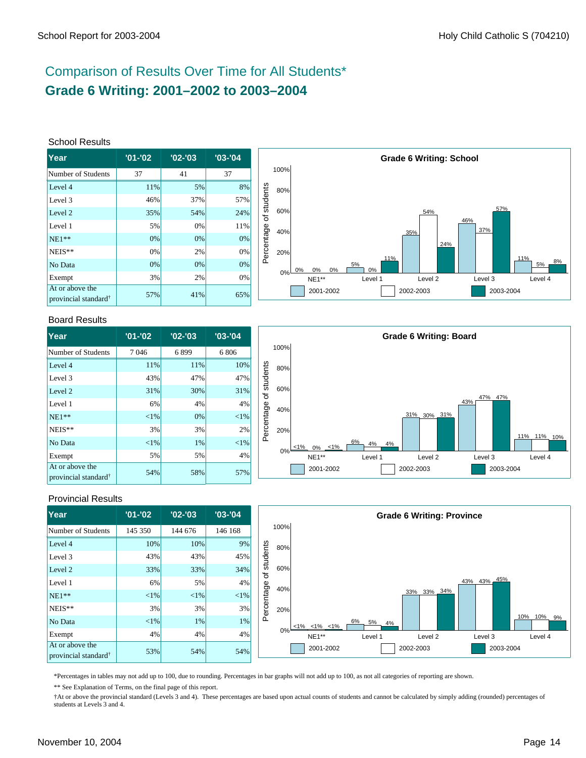# Comparison of Results Over Time for All Students\* **Grade 6 Writing: 2001–2002 to 2003–2004**

#### School Results

| <b>Year</b>                                         | $'01 - '02$ | $'02 -'03$ | $'03 -'04$ |
|-----------------------------------------------------|-------------|------------|------------|
| Number of Students                                  | 37          | 41         | 37         |
| Level 4                                             | 11%         | 5%         | 8%         |
| Level 3                                             | 46%         | 37%        | 57%        |
| Level 2                                             | 35%         | 54%        | 24%        |
| Level 1                                             | 5%          | 0%         | 11%        |
| $NE1**$                                             | 0%          | 0%         | 0%         |
| NEIS**                                              | 0%          | 2%         | 0%         |
| No Data                                             | 0%          | 0%         | 0%         |
| Exempt                                              | 3%          | 2%         | 0%         |
| At or above the<br>provincial standard <sup>†</sup> | 57%         | 41%        | 65%        |



#### Board Results

| <b>Year</b>                                         | $'01 - '02$ | $'02 -'03$ | $'03 - '04$ |
|-----------------------------------------------------|-------------|------------|-------------|
| Number of Students                                  | 7046        | 6899       | 6806        |
| Level 4                                             | 11%         | 11%        | 10%         |
| Level 3                                             | 43%         | 47%        | 47%         |
| Level 2                                             | 31%         | 30%        | 31%         |
| Level 1                                             | 6%          | 4%         | 4%          |
| $NE1**$                                             | ${<}1\%$    | 0%         | ${<}1\%$    |
| NEIS**                                              | 3%          | 3%         | 2%          |
| No Data                                             | ${<}1\%$    | 1%         | ${<}1\%$    |
| Exempt                                              | 5%          | 5%         | 4%          |
| At or above the<br>provincial standard <sup>†</sup> | 54%         | 58%        | 57%         |



### Provincial Results

| Year                                                | $'01 - '02$ | $'02 - '03$ | $'03 - '04$ |            |      |                         |                | <b>Grade 6 Writing: Province</b> |             |               |
|-----------------------------------------------------|-------------|-------------|-------------|------------|------|-------------------------|----------------|----------------------------------|-------------|---------------|
| Number of Students                                  | 145 350     | 144 676     | 146 168     |            | 100% |                         |                |                                  |             |               |
| Level 4                                             | 10%         | 10%         | 9%          |            | 80%  |                         |                |                                  |             |               |
| Level 3                                             | 43%         | 43%         | 45%         | students   |      |                         |                |                                  |             |               |
| Level 2                                             | 33%         | 33%         | 34%         | ৳          | 60%  |                         |                |                                  |             |               |
| Level 1                                             | 6%          | 5%          | 4%          |            | 40%  |                         |                |                                  | 43% 43% 45% |               |
| $NE1**$                                             | $<$ 1%      | $< 1\%$     | <1%         |            |      |                         |                | 33% 33% 34%                      |             |               |
| NEIS**                                              | 3%          | 3%          | 3%          | Percentage | 20%  |                         |                |                                  |             |               |
| No Data                                             | $<$ 1%      | 1%          | $1\%$       |            |      | $< 1\%$ $< 1\%$ $< 1\%$ | 6%<br>5%<br>4% |                                  |             | 10%<br>10% 9% |
| Exempt                                              | 4%          | 4%          | 4%          |            | 0%⊨  | NE1**                   | Level 1        | Level 2                          | Level 3     | Level 4       |
| At or above the<br>provincial standard <sup>†</sup> | 53%         | 54%         | 54%         |            |      | 2001-2002               |                | 2002-2003                        | 2003-2004   |               |

\*Percentages in tables may not add up to 100, due to rounding. Percentages in bar graphs will not add up to 100, as not all categories of reporting are shown.

\*\* See Explanation of Terms, on the final page of this report.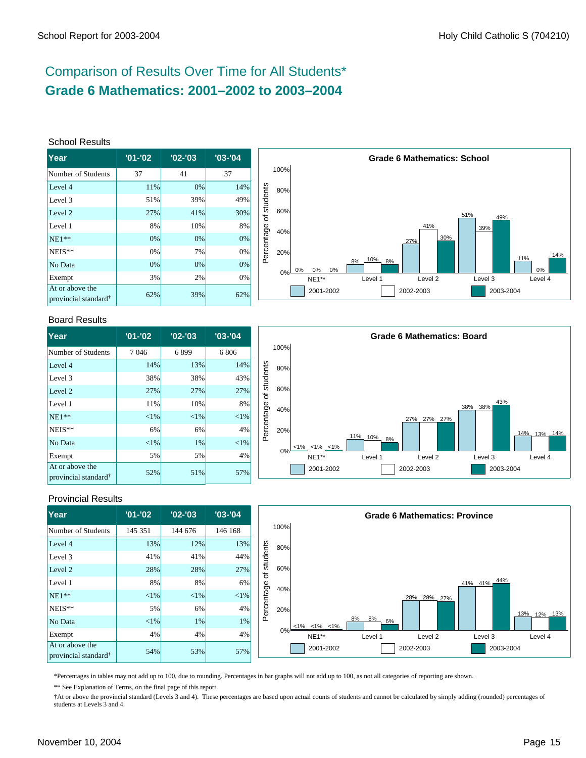# Comparison of Results Over Time for All Students\* **Grade 6 Mathematics: 2001–2002 to 2003–2004**

#### School Results

| lYear                                               | $'01 - '02$ | $'02 -'03$ | $'03 -'04$ |
|-----------------------------------------------------|-------------|------------|------------|
| Number of Students                                  | 37          | 41         | 37         |
| Level 4                                             | 11%         | 0%         | 14%        |
| Level 3                                             | 51%         | 39%        | 49%        |
| Level 2                                             | 27%         | 41%        | 30%        |
| Level 1                                             | 8%          | 10%        | 8%         |
| $NE1**$                                             | 0%          | 0%         | 0%         |
| NEIS**                                              | 0%          | 7%         | 0%         |
| No Data                                             | 0%          | 0%         | 0%         |
| Exempt                                              | 3%          | 2%         | 0%         |
| At or above the<br>provincial standard <sup>†</sup> | 62%         | 39%        | 62%        |



#### Board Results

| <b>Year</b>                                         | $'01 - '02$ | $'02 - '03$ | $'03 -'04$ |
|-----------------------------------------------------|-------------|-------------|------------|
| Number of Students                                  | 7046        | 6899        | 6806       |
| Level 4                                             | 14%         | 13%         | 14%        |
| Level 3                                             | 38%         | 38%         | 43%        |
| Level 2                                             | 27%         | 27%         | 27%        |
| Level 1                                             | 11%         | 10%         | 8%         |
| $NE1**$                                             | ${<}1\%$    | $<$ 1%      | $<$ 1%     |
| NEIS**                                              | 6%          | 6%          | 4%         |
| No Data                                             | ${<}1\%$    | 1%          | $<$ 1%     |
| Exempt                                              | 5%          | 5%          | 4%         |
| At or above the<br>provincial standard <sup>†</sup> | 52%         | 51%         | 57%        |



### Provincial Results

| <b>Year</b>                                         | $'01 - '02$ | $'02 -'03$ | $'03 - '04$ |            |      |                         |                | <b>Grade 6 Mathematics: Province</b> |                |             |
|-----------------------------------------------------|-------------|------------|-------------|------------|------|-------------------------|----------------|--------------------------------------|----------------|-------------|
| Number of Students                                  | 145 351     | 144 676    | 146 168     |            | 100% |                         |                |                                      |                |             |
| Level 4                                             | 13%         | 12%        | 13%         |            | 80%  |                         |                |                                      |                |             |
| Level 3                                             | 41%         | 41%        | 44%         | students   |      |                         |                |                                      |                |             |
| Level 2                                             | 28%         | 28%        | 27%         | ৳          | 60%  |                         |                |                                      |                |             |
| Level 1                                             | 8%          | 8%         | 6%          |            | 40%  |                         |                |                                      | 44%<br>41% 41% |             |
| $NE1**$                                             | $< 1\%$     | <1%        | $< 1\%$     | Percentage |      |                         |                | 28%<br>28% 27%                       |                |             |
| $NEIS**$                                            | 5%          | 6%         | 4%          |            | 20%  |                         |                |                                      |                | 13% 12% 13% |
| No Data                                             | $< 1\%$     | 1%         | $1\%$       |            |      | $< 1\%$ $< 1\%$ $< 1\%$ | 8%<br>8%<br>6% |                                      |                |             |
| Exempt                                              | 4%          | 4%         | 4%          |            | 0%   | NE1**                   | Level 1        | Level 2                              | Level 3        | Level 4     |
| At or above the<br>provincial standard <sup>†</sup> | 54%         | 53%        | 57%         |            |      | 2001-2002               |                | 2002-2003                            | 2003-2004      |             |

\*Percentages in tables may not add up to 100, due to rounding. Percentages in bar graphs will not add up to 100, as not all categories of reporting are shown.

\*\* See Explanation of Terms, on the final page of this report.